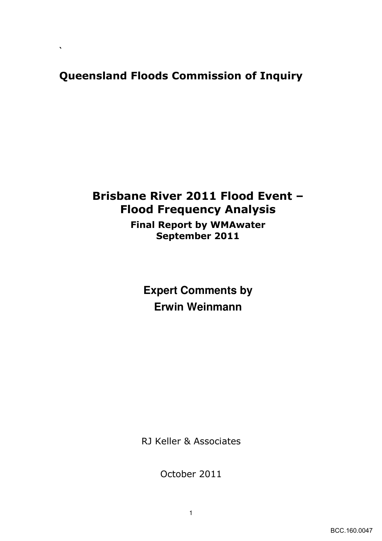## Queensland Floods Commission of Inquiry

**`** 

# Brisbane River 2011 Flood Event – Flood Frequency Analysis

Final Report by WMAwater September 2011

> **Expert Comments by Erwin Weinmann**

RJ Keller & Associates

October 2011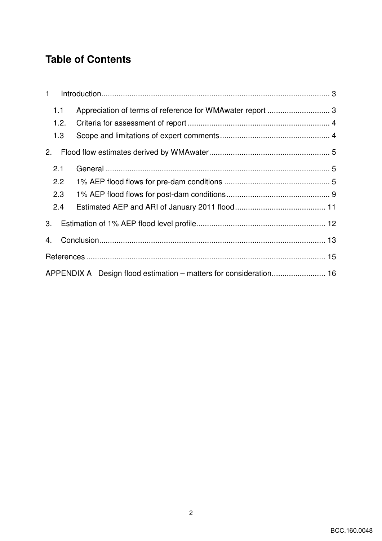## **Table of Contents**

| $\mathbf{1}$ |                                                                   |  |
|--------------|-------------------------------------------------------------------|--|
| 1.1          | Appreciation of terms of reference for WMAwater report  3         |  |
| 1.2.         |                                                                   |  |
| 1.3          |                                                                   |  |
| 2.           |                                                                   |  |
| 2.1          |                                                                   |  |
| 2.2          |                                                                   |  |
| 2.3          |                                                                   |  |
| 2.4          |                                                                   |  |
| 3.           |                                                                   |  |
| 4.           |                                                                   |  |
|              |                                                                   |  |
|              | APPENDIX A Design flood estimation - matters for consideration 16 |  |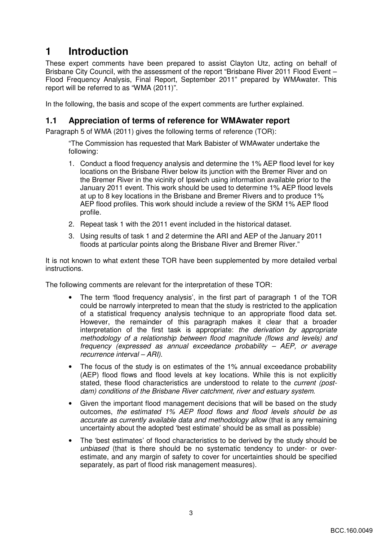## **1 Introduction**

These expert comments have been prepared to assist Clayton Utz, acting on behalf of Brisbane City Council, with the assessment of the report "Brisbane River 2011 Flood Event -Flood Frequency Analysis, Final Report, September 2011" prepared by WMAwater. This report will be referred to as "WMA (2011)".

In the following, the basis and scope of the expert comments are further explained.

### **1.1 Appreciation of terms of reference for WMAwater report**

Paragraph 5 of WMA (2011) gives the following terms of reference (TOR):

"The Commission has requested that Mark Babister of WMAwater undertake the following:

- 1. Conduct a flood frequency analysis and determine the 1% AEP flood level for key locations on the Brisbane River below its junction with the Bremer River and on the Bremer River in the vicinity of Ipswich using information available prior to the January 2011 event. This work should be used to determine 1% AEP flood levels at up to 8 key locations in the Brisbane and Bremer Rivers and to produce 1% AEP flood profiles. This work should include a review of the SKM 1% AEP flood profile.
- 2. Repeat task 1 with the 2011 event included in the historical dataset.
- 3. Using results of task 1 and 2 determine the ARI and AEP of the January 2011 floods at particular points along the Brisbane River and Bremer River."

It is not known to what extent these TOR have been supplemented by more detailed verbal instructions.

The following comments are relevant for the interpretation of these TOR:

- The term 'flood frequency analysis', in the first part of paragraph 1 of the TOR could be narrowly interpreted to mean that the study is restricted to the application of a statistical frequency analysis technique to an appropriate flood data set. However, the remainder of this paragraph makes it clear that a broader interpretation of the first task is appropriate: the derivation by appropriate methodology of a relationship between flood magnitude (flows and levels) and frequency (expressed as annual exceedance probability – AEP, or average recurrence interval – ARI).
- The focus of the study is on estimates of the 1% annual exceedance probability (AEP) flood flows and flood levels at key locations. While this is not explicitly stated, these flood characteristics are understood to relate to the current (postdam) conditions of the Brisbane River catchment, river and estuary system.
- Given the important flood management decisions that will be based on the study outcomes, the estimated 1% AEP flood flows and flood levels should be as accurate as currently available data and methodology allow (that is any remaining uncertainty about the adopted 'best estimate' should be as small as possible)
- The 'best estimates' of flood characteristics to be derived by the study should be unbiased (that is there should be no systematic tendency to under- or overestimate, and any margin of safety to cover for uncertainties should be specified separately, as part of flood risk management measures).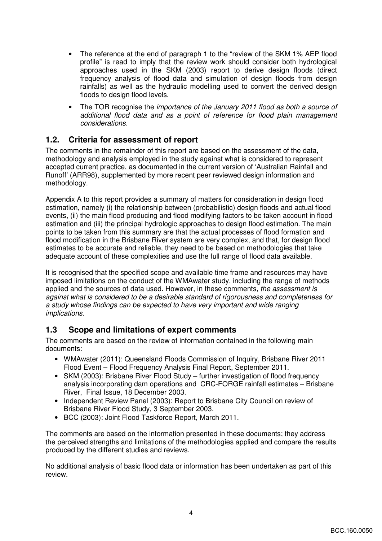- The reference at the end of paragraph 1 to the "review of the SKM 1% AEP flood profile" is read to imply that the review work should consider both hydrological approaches used in the SKM (2003) report to derive design floods (direct frequency analysis of flood data and simulation of design floods from design rainfalls) as well as the hydraulic modelling used to convert the derived design floods to design flood levels.
- The TOR recognise the *importance of the January 2011 flood as both a source of* additional flood data and as a point of reference for flood plain management considerations.

### **1.2. Criteria for assessment of report**

The comments in the remainder of this report are based on the assessment of the data, methodology and analysis employed in the study against what is considered to represent accepted current practice, as documented in the current version of 'Australian Rainfall and Runoff' (ARR98), supplemented by more recent peer reviewed design information and methodology.

Appendix A to this report provides a summary of matters for consideration in design flood estimation, namely (i) the relationship between (probabilistic) design floods and actual flood events, (ii) the main flood producing and flood modifying factors to be taken account in flood estimation and (iii) the principal hydrologic approaches to design flood estimation. The main points to be taken from this summary are that the actual processes of flood formation and flood modification in the Brisbane River system are very complex, and that, for design flood estimates to be accurate and reliable, they need to be based on methodologies that take adequate account of these complexities and use the full range of flood data available.

It is recognised that the specified scope and available time frame and resources may have imposed limitations on the conduct of the WMAwater study, including the range of methods applied and the sources of data used. However, in these comments, the assessment is against what is considered to be a desirable standard of rigorousness and completeness for a study whose findings can be expected to have very important and wide ranging implications.

### **1.3 Scope and limitations of expert comments**

The comments are based on the review of information contained in the following main documents:

- WMAwater (2011): Queensland Floods Commission of Inquiry, Brisbane River 2011 Flood Event – Flood Frequency Analysis Final Report, September 2011.
- SKM (2003): Brisbane River Flood Study further investigation of flood frequency analysis incorporating dam operations and CRC-FORGE rainfall estimates – Brisbane River, Final Issue, 18 December 2003.
- Independent Review Panel (2003): Report to Brisbane City Council on review of Brisbane River Flood Study, 3 September 2003.
- BCC (2003): Joint Flood Taskforce Report, March 2011.

The comments are based on the information presented in these documents; they address the perceived strengths and limitations of the methodologies applied and compare the results produced by the different studies and reviews.

No additional analysis of basic flood data or information has been undertaken as part of this review.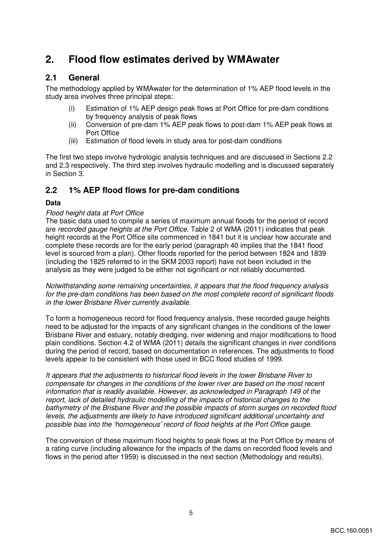## **2. Flood flow estimates derived by WMAwater**

### **2.1 General**

The methodology applied by WMAwater for the determination of 1% AEP flood levels in the study area involves three principal steps:

- (i) Estimation of 1% AEP design peak flows at Port Office for pre-dam conditions by frequency analysis of peak flows
- (ii) Conversion of pre-dam 1% AEP peak flows to post-dam 1% AEP peak flows at Port Office
- (iii) Estimation of flood levels in study area for post-dam conditions

The first two steps involve hydrologic analysis techniques and are discussed in Sections 2.2 and 2.3 respectively. The third step involves hydraulic modelling and is discussed separately in Section 3.

### **2.2 1% AEP flood flows for pre-dam conditions**

#### **Data**

#### Flood height data at Port Office

The basic data used to compile a series of maximum annual floods for the period of record are recorded gauge heights at the Port Office. Table 2 of WMA (2011) indicates that peak height records at the Port Office site commenced in 1841 but it is unclear how accurate and complete these records are for the early period (paragraph 40 implies that the 1841 flood level is sourced from a plan). Other floods reported for the period between 1824 and 1839 (including the 1825 referred to in the SKM 2003 report) have not been included in the analysis as they were judged to be either not significant or not reliably documented.

Notwithstanding some remaining uncertainties, it appears that the flood frequency analysis for the pre-dam conditions has been based on the most complete record of significant floods in the lower Brisbane River currently available.

To form a homogeneous record for flood frequency analysis, these recorded gauge heights need to be adjusted for the impacts of any significant changes in the conditions of the lower Brisbane River and estuary, notably dredging, river widening and major modifications to flood plain conditions. Section 4.2 of WMA (2011) details the significant changes in river conditions during the period of record, based on documentation in references. The adjustments to flood levels appear to be consistent with those used in BCC flood studies of 1999.

It appears that the adjustments to historical flood levels in the lower Brisbane River to compensate for changes in the conditions of the lower river are based on the most recent information that is readily available. However, as acknowledged in Paragraph 149 of the report, lack of detailed hydraulic modelling of the impacts of historical changes to the bathymetry of the Brisbane River and the possible impacts of storm surges on recorded flood levels, the adjustments are likely to have introduced significant additional uncertainty and possible bias into the 'homogeneous' record of flood heights at the Port Office gauge.

The conversion of these maximum flood heights to peak flows at the Port Office by means of a rating curve (including allowance for the impacts of the dams on recorded flood levels and flows in the period after 1959) is discussed in the next section (Methodology and results).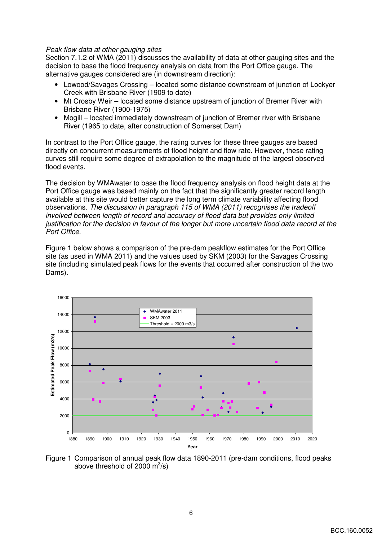#### Peak flow data at other gauging sites

Section 7.1.2 of WMA (2011) discusses the availability of data at other gauging sites and the decision to base the flood frequency analysis on data from the Port Office gauge. The alternative gauges considered are (in downstream direction):

- Lowood/Savages Crossing located some distance downstream of junction of Lockyer Creek with Brisbane River (1909 to date)
- Mt Crosby Weir located some distance upstream of junction of Bremer River with Brisbane River (1900-1975)
- Mogill located immediately downstream of junction of Bremer river with Brisbane River (1965 to date, after construction of Somerset Dam)

In contrast to the Port Office gauge, the rating curves for these three gauges are based directly on concurrent measurements of flood height and flow rate. However, these rating curves still require some degree of extrapolation to the magnitude of the largest observed flood events.

The decision by WMAwater to base the flood frequency analysis on flood height data at the Port Office gauge was based mainly on the fact that the significantly greater record length available at this site would better capture the long term climate variability affecting flood observations. The discussion in paragraph 115 of WMA (2011) recognises the tradeoff involved between length of record and accuracy of flood data but provides only limited justification for the decision in favour of the longer but more uncertain flood data record at the Port Office.

Figure 1 below shows a comparison of the pre-dam peakflow estimates for the Port Office site (as used in WMA 2011) and the values used by SKM (2003) for the Savages Crossing site (including simulated peak flows for the events that occurred after construction of the two Dams).



Figure 1 Comparison of annual peak flow data 1890-2011 (pre-dam conditions, flood peaks above threshold of 2000  $\text{m}^3\text{/s}$ )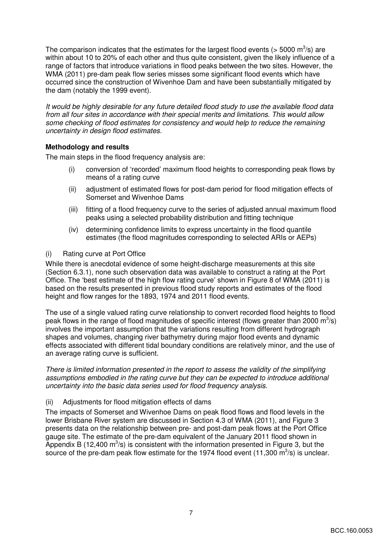The comparison indicates that the estimates for the largest flood events (> 5000 m<sup>3</sup>/s) are within about 10 to 20% of each other and thus quite consistent, given the likely influence of a range of factors that introduce variations in flood peaks between the two sites. However, the WMA (2011) pre-dam peak flow series misses some significant flood events which have occurred since the construction of Wivenhoe Dam and have been substantially mitigated by the dam (notably the 1999 event).

It would be highly desirable for any future detailed flood study to use the available flood data from all four sites in accordance with their special merits and limitations. This would allow some checking of flood estimates for consistency and would help to reduce the remaining uncertainty in design flood estimates.

#### **Methodology and results**

The main steps in the flood frequency analysis are:

- (i) conversion of 'recorded' maximum flood heights to corresponding peak flows by means of a rating curve
- (ii) adjustment of estimated flows for post-dam period for flood mitigation effects of Somerset and Wivenhoe Dams
- (iii) fitting of a flood frequency curve to the series of adjusted annual maximum flood peaks using a selected probability distribution and fitting technique
- (iv) determining confidence limits to express uncertainty in the flood quantile estimates (the flood magnitudes corresponding to selected ARIs or AEPs)

#### (i) Rating curve at Port Office

While there is anecdotal evidence of some height-discharge measurements at this site (Section 6.3.1), none such observation data was available to construct a rating at the Port Office. The 'best estimate of the high flow rating curve' shown in Figure 8 of WMA (2011) is based on the results presented in previous flood study reports and estimates of the flood height and flow ranges for the 1893, 1974 and 2011 flood events.

The use of a single valued rating curve relationship to convert recorded flood heights to flood peak flows in the range of flood magnitudes of specific interest (flows greater than 2000  $\mathrm{m}^3$ /s) involves the important assumption that the variations resulting from different hydrograph shapes and volumes, changing river bathymetry during major flood events and dynamic effects associated with different tidal boundary conditions are relatively minor, and the use of an average rating curve is sufficient.

There is limited information presented in the report to assess the validity of the simplifying assumptions embodied in the rating curve but they can be expected to introduce additional uncertainty into the basic data series used for flood frequency analysis.

#### (ii) Adjustments for flood mitigation effects of dams

The impacts of Somerset and Wivenhoe Dams on peak flood flows and flood levels in the lower Brisbane River system are discussed in Section 4.3 of WMA (2011), and Figure 3 presents data on the relationship between pre- and post-dam peak flows at the Port Office gauge site. The estimate of the pre-dam equivalent of the January 2011 flood shown in Appendix B (12,400  $\mathrm{m}^3$ /s) is consistent with the information presented in Figure 3, but the source of the pre-dam peak flow estimate for the 1974 flood event (11,300  $\mathrm{m}^3$ /s) is unclear.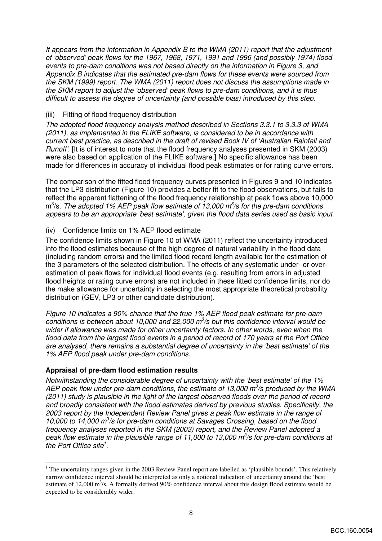It appears from the information in Appendix B to the WMA (2011) report that the adjustment of 'observed' peak flows for the 1967, 1968, 1971, 1991 and 1996 (and possibly 1974) flood events to pre-dam conditions was not based directly on the information in Figure 3, and Appendix B indicates that the estimated pre-dam flows for these events were sourced from the SKM (1999) report. The WMA (2011) report does not discuss the assumptions made in the SKM report to adjust the 'observed' peak flows to pre-dam conditions, and it is thus difficult to assess the degree of uncertainty (and possible bias) introduced by this step.

#### (iii) Fitting of flood frequency distribution

The adopted flood frequency analysis method described in Sections 3.3.1 to 3.3.3 of WMA (2011), as implemented in the FLIKE software, is considered to be in accordance with current best practice, as described in the draft of revised Book IV of 'Australian Rainfall and Runoff'. [It is of interest to note that the flood frequency analyses presented in SKM (2003) were also based on application of the FLIKE software.] No specific allowance has been made for differences in accuracy of individual flood peak estimates or for rating curve errors.

The comparison of the fitted flood frequency curves presented in Figures 9 and 10 indicates that the LP3 distribution (Figure 10) provides a better fit to the flood observations, but fails to reflect the apparent flattening of the flood frequency relationship at peak flows above 10,000  $m^3$ /s. The adopted 1% AEP peak flow estimate of 13,000  $m^3$ /s for the pre-dam conditions appears to be an appropriate 'best estimate', given the flood data series used as basic input.

#### (iv) Confidence limits on 1% AEP flood estimate

The confidence limits shown in Figure 10 of WMA (2011) reflect the uncertainty introduced into the flood estimates because of the high degree of natural variability in the flood data (including random errors) and the limited flood record length available for the estimation of the 3 parameters of the selected distribution. The effects of any systematic under- or overestimation of peak flows for individual flood events (e.g. resulting from errors in adjusted flood heights or rating curve errors) are not included in these fitted confidence limits, nor do the make allowance for uncertainty in selecting the most appropriate theoretical probability distribution (GEV, LP3 or other candidate distribution).

Figure 10 indicates a 90% chance that the true 1% AEP flood peak estimate for pre-dam conditions is between about 10,000 and 22,000  $m^3/s$  but this confidence interval would be wider if allowance was made for other uncertainty factors. In other words, even when the flood data from the largest flood events in a period of record of 170 years at the Port Office are analysed, there remains a substantial degree of uncertainty in the 'best estimate' of the 1% AEP flood peak under pre-dam conditions.

#### **Appraisal of pre-dam flood estimation results**

Notwithstanding the considerable degree of uncertainty with the 'best estimate' of the 1% AEP peak flow under pre-dam conditions, the estimate of 13,000  $m^3/s$  produced by the WMA (2011) study is plausible in the light of the largest observed floods over the period of record and broadly consistent with the flood estimates derived by previous studies. Specifically, the 2003 report by the Independent Review Panel gives a peak flow estimate in the range of 10,000 to 14,000  $m^3$ /s for pre-dam conditions at Savages Crossing, based on the flood frequency analyses reported in the SKM (2003) report, and the Review Panel adopted a peak flow estimate in the plausible range of 11,000 to 13,000  $m^3/s$  for pre-dam conditions at the Port Office site $1$ .

<sup>&</sup>lt;sup>1</sup> The uncertainty ranges given in the 2003 Review Panel report are labelled as 'plausible bounds'. This relatively narrow confidence interval should be interpreted as only a notional indication of uncertainty around the 'best estimate of 12,000  $\text{m}^3$ /s. A formally derived 90% confidence interval about this design flood estimate would be expected to be considerably wider.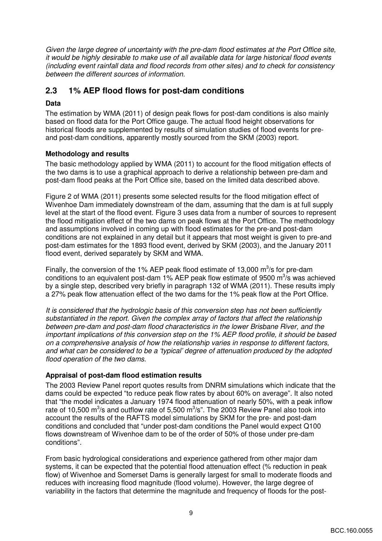Given the large degree of uncertainty with the pre-dam flood estimates at the Port Office site, it would be highly desirable to make use of all available data for large historical flood events (including event rainfall data and flood records from other sites) and to check for consistency between the different sources of information.

### **2.3 1% AEP flood flows for post-dam conditions**

#### **Data**

The estimation by WMA (2011) of design peak flows for post-dam conditions is also mainly based on flood data for the Port Office gauge. The actual flood height observations for historical floods are supplemented by results of simulation studies of flood events for preand post-dam conditions, apparently mostly sourced from the SKM (2003) report.

#### **Methodology and results**

The basic methodology applied by WMA (2011) to account for the flood mitigation effects of the two dams is to use a graphical approach to derive a relationship between pre-dam and post-dam flood peaks at the Port Office site, based on the limited data described above.

Figure 2 of WMA (2011) presents some selected results for the flood mitigation effect of Wivenhoe Dam immediately downstream of the dam, assuming that the dam is at full supply level at the start of the flood event. Figure 3 uses data from a number of sources to represent the flood mitigation effect of the two dams on peak flows at the Port Office. The methodology and assumptions involved in coming up with flood estimates for the pre-and post-dam conditions are not explained in any detail but it appears that most weight is given to pre-and post-dam estimates for the 1893 flood event, derived by SKM (2003), and the January 2011 flood event, derived separately by SKM and WMA.

Finally, the conversion of the 1% AEP peak flood estimate of 13,000  $\mathrm{m}^3$ /s for pre-dam conditions to an equivalent post-dam 1% AEP peak flow estimate of 9500  $\text{m}^3\text{/s}$  was achieved by a single step, described very briefly in paragraph 132 of WMA (2011). These results imply a 27% peak flow attenuation effect of the two dams for the 1% peak flow at the Port Office.

It is considered that the hydrologic basis of this conversion step has not been sufficiently substantiated in the report. Given the complex array of factors that affect the relationship between pre-dam and post-dam flood characteristics in the lower Brisbane River, and the important implications of this conversion step on the 1% AEP flood profile, it should be based on a comprehensive analysis of how the relationship varies in response to different factors, and what can be considered to be a 'typical' degree of attenuation produced by the adopted flood operation of the two dams.

#### **Appraisal of post-dam flood estimation results**

The 2003 Review Panel report quotes results from DNRM simulations which indicate that the dams could be expected "to reduce peak flow rates by about 60% on average". It also noted that "the model indicates a January 1974 flood attenuation of nearly 50%, with a peak inflow rate of 10,500 m<sup>3</sup>/s and outflow rate of 5,500 m<sup>3</sup>/s". The 2003 Review Panel also took into account the results of the RAFTS model simulations by SKM for the pre- and post-dam conditions and concluded that "under post-dam conditions the Panel would expect Q100 flows downstream of Wivenhoe dam to be of the order of 50% of those under pre-dam conditions".

From basic hydrological considerations and experience gathered from other major dam systems, it can be expected that the potential flood attenuation effect (% reduction in peak flow) of Wivenhoe and Somerset Dams is generally largest for small to moderate floods and reduces with increasing flood magnitude (flood volume). However, the large degree of variability in the factors that determine the magnitude and frequency of floods for the post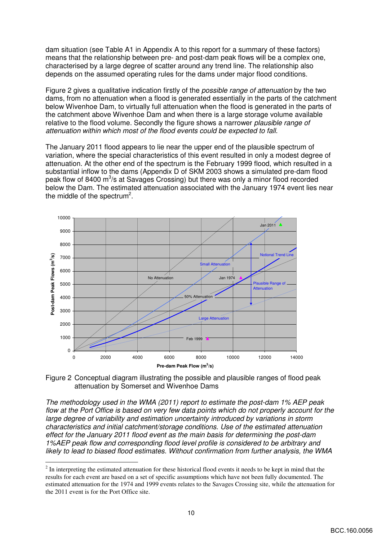dam situation (see Table A1 in Appendix A to this report for a summary of these factors) means that the relationship between pre- and post-dam peak flows will be a complex one, characterised by a large degree of scatter around any trend line. The relationship also depends on the assumed operating rules for the dams under major flood conditions.

Figure 2 gives a qualitative indication firstly of the possible range of attenuation by the two dams, from no attenuation when a flood is generated essentially in the parts of the catchment below Wivenhoe Dam, to virtually full attenuation when the flood is generated in the parts of the catchment above Wivenhoe Dam and when there is a large storage volume available relative to the flood volume. Secondly the figure shows a narrower plausible range of attenuation within which most of the flood events could be expected to fall.

The January 2011 flood appears to lie near the upper end of the plausible spectrum of variation, where the special characteristics of this event resulted in only a modest degree of attenuation. At the other end of the spectrum is the February 1999 flood, which resulted in a substantial inflow to the dams (Appendix D of SKM 2003 shows a simulated pre-dam flood peak flow of 8400 m<sup>3</sup>/s at Savages Crossing) but there was only a minor flood recorded below the Dam. The estimated attenuation associated with the January 1974 event lies near the middle of the spectrum<sup>2</sup>.



Figure 2 Conceptual diagram illustrating the possible and plausible ranges of flood peak attenuation by Somerset and Wivenhoe Dams

The methodology used in the WMA (2011) report to estimate the post-dam 1% AEP peak flow at the Port Office is based on very few data points which do not properly account for the large degree of variability and estimation uncertainty introduced by variations in storm characteristics and initial catchment/storage conditions. Use of the estimated attenuation effect for the January 2011 flood event as the main basis for determining the post-dam 1%AEP peak flow and corresponding flood level profile is considered to be arbitrary and likely to lead to biased flood estimates. Without confirmation from further analysis, the WMA

<sup>&</sup>lt;sup>2</sup> In interpreting the estimated attenuation for these historical flood events it needs to be kept in mind that the results for each event are based on a set of specific assumptions which have not been fully documented. The estimated attenuation for the 1974 and 1999 events relates to the Savages Crossing site, while the attenuation for the 2011 event is for the Port Office site.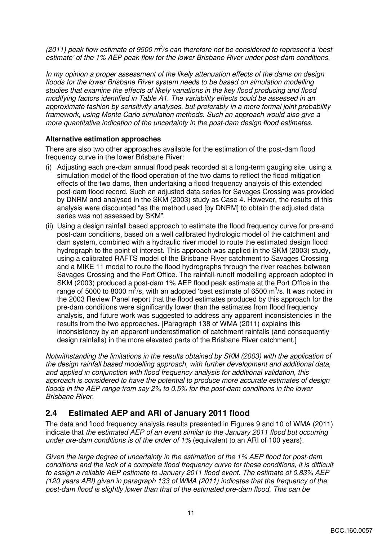(2011) peak flow estimate of 9500  $m^3$ /s can therefore not be considered to represent a 'best estimate' of the 1% AEP peak flow for the lower Brisbane River under post-dam conditions.

In my opinion a proper assessment of the likely attenuation effects of the dams on design floods for the lower Brisbane River system needs to be based on simulation modelling studies that examine the effects of likely variations in the key flood producing and flood modifying factors identified in Table A1. The variability effects could be assessed in an approximate fashion by sensitivity analyses, but preferably in a more formal joint probability framework, using Monte Carlo simulation methods. Such an approach would also give a more quantitative indication of the uncertainty in the post-dam design flood estimates.

#### **Alternative estimation approaches**

There are also two other approaches available for the estimation of the post-dam flood frequency curve in the lower Brisbane River:

- (i) Adjusting each pre-dam annual flood peak recorded at a long-term gauging site, using a simulation model of the flood operation of the two dams to reflect the flood mitigation effects of the two dams, then undertaking a flood frequency analysis of this extended post-dam flood record. Such an adjusted data series for Savages Crossing was provided by DNRM and analysed in the SKM (2003) study as Case 4. However, the results of this analysis were discounted "as the method used [by DNRM] to obtain the adjusted data series was not assessed by SKM".
- (ii) Using a design rainfall based approach to estimate the flood frequency curve for pre-and post-dam conditions, based on a well calibrated hydrologic model of the catchment and dam system, combined with a hydraulic river model to route the estimated design flood hydrograph to the point of interest. This approach was applied in the SKM (2003) study, using a calibrated RAFTS model of the Brisbane River catchment to Savages Crossing and a MIKE 11 model to route the flood hydrographs through the river reaches between Savages Crossing and the Port Office. The rainfall-runoff modelling approach adopted in SKM (2003) produced a post-dam 1% AEP flood peak estimate at the Port Office in the range of 5000 to 8000 m<sup>3</sup>/s, with an adopted 'best estimate of 6500 m<sup>3</sup>/s. It was noted in the 2003 Review Panel report that the flood estimates produced by this approach for the pre-dam conditions were significantly lower than the estimates from flood frequency analysis, and future work was suggested to address any apparent inconsistencies in the results from the two approaches. [Paragraph 138 of WMA (2011) explains this inconsistency by an apparent underestimation of catchment rainfalls (and consequently design rainfalls) in the more elevated parts of the Brisbane River catchment.]

Notwithstanding the limitations in the results obtained by SKM (2003) with the application of the design rainfall based modelling approach, with further development and additional data, and applied in conjunction with flood frequency analysis for additional validation, this approach is considered to have the potential to produce more accurate estimates of design floods in the AEP range from say 2% to 0.5% for the post-dam conditions in the lower Brisbane River.

### **2.4 Estimated AEP and ARI of January 2011 flood**

The data and flood frequency analysis results presented in Figures 9 and 10 of WMA (2011) indicate that the estimated AEP of an event similar to the January 2011 flood but occurring under pre-dam conditions is of the order of 1% (equivalent to an ARI of 100 years).

Given the large degree of uncertainty in the estimation of the 1% AEP flood for post-dam conditions and the lack of a complete flood frequency curve for these conditions, it is difficult to assign a reliable AEP estimate to January 2011 flood event. The estimate of 0.83% AEP (120 years ARI) given in paragraph 133 of WMA (2011) indicates that the frequency of the post-dam flood is slightly lower than that of the estimated pre-dam flood. This can be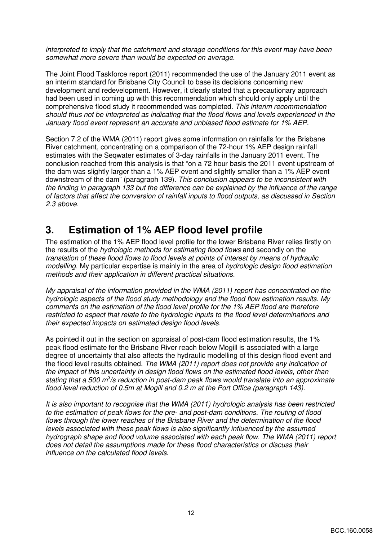interpreted to imply that the catchment and storage conditions for this event may have been somewhat more severe than would be expected on average.

The Joint Flood Taskforce report (2011) recommended the use of the January 2011 event as an interim standard for Brisbane City Council to base its decisions concerning new development and redevelopment. However, it clearly stated that a precautionary approach had been used in coming up with this recommendation which should only apply until the comprehensive flood study it recommended was completed. This interim recommendation should thus not be interpreted as indicating that the flood flows and levels experienced in the January flood event represent an accurate and unbiased flood estimate for 1% AEP.

Section 7.2 of the WMA (2011) report gives some information on rainfalls for the Brisbane River catchment, concentrating on a comparison of the 72-hour 1% AEP design rainfall estimates with the Seqwater estimates of 3-day rainfalls in the January 2011 event. The conclusion reached from this analysis is that "on a 72 hour basis the 2011 event upstream of the dam was slightly larger than a 1% AEP event and slightly smaller than a 1% AEP event downstream of the dam" (paragraph 139). This conclusion appears to be inconsistent with the finding in paragraph 133 but the difference can be explained by the influence of the range of factors that affect the conversion of rainfall inputs to flood outputs, as discussed in Section 2.3 above.

### **3. Estimation of 1% AEP flood level profile**

The estimation of the 1% AEP flood level profile for the lower Brisbane River relies firstly on the results of the hydrologic methods for estimating flood flows and secondly on the translation of these flood flows to flood levels at points of interest by means of hydraulic modelling. My particular expertise is mainly in the area of hydrologic design flood estimation methods and their application in different practical situations.

My appraisal of the information provided in the WMA (2011) report has concentrated on the hydrologic aspects of the flood study methodology and the flood flow estimation results. My comments on the estimation of the flood level profile for the 1% AEP flood are therefore restricted to aspect that relate to the hydrologic inputs to the flood level determinations and their expected impacts on estimated design flood levels.

As pointed it out in the section on appraisal of post-dam flood estimation results, the 1% peak flood estimate for the Brisbane River reach below Mogill is associated with a large degree of uncertainty that also affects the hydraulic modelling of this design flood event and the flood level results obtained. The WMA (2011) report does not provide any indication of the impact of this uncertainty in design flood flows on the estimated flood levels, other than stating that a 500 m<sup>3</sup>/s reduction in post-dam peak flows would translate into an approximate flood level reduction of 0.5m at Mogill and 0.2 m at the Port Office (paragraph 143).

It is also important to recognise that the WMA (2011) hydrologic analysis has been restricted to the estimation of peak flows for the pre- and post-dam conditions. The routing of flood flows through the lower reaches of the Brisbane River and the determination of the flood levels associated with these peak flows is also significantly influenced by the assumed hydrograph shape and flood volume associated with each peak flow. The WMA (2011) report does not detail the assumptions made for these flood characteristics or discuss their influence on the calculated flood levels.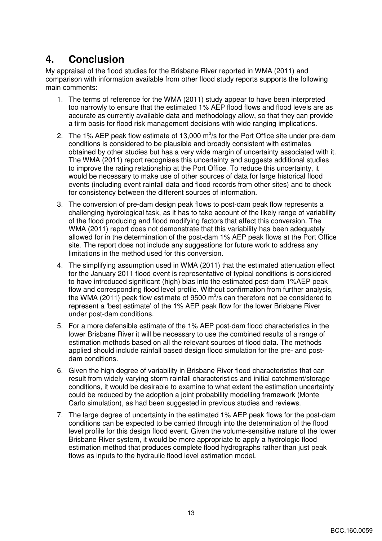## **4. Conclusion**

My appraisal of the flood studies for the Brisbane River reported in WMA (2011) and comparison with information available from other flood study reports supports the following main comments:

- 1. The terms of reference for the WMA (2011) study appear to have been interpreted too narrowly to ensure that the estimated 1% AEP flood flows and flood levels are as accurate as currently available data and methodology allow, so that they can provide a firm basis for flood risk management decisions with wide ranging implications.
- 2. The 1% AEP peak flow estimate of 13,000  $\text{m}^3\text{/s}$  for the Port Office site under pre-dam conditions is considered to be plausible and broadly consistent with estimates obtained by other studies but has a very wide margin of uncertainty associated with it. The WMA (2011) report recognises this uncertainty and suggests additional studies to improve the rating relationship at the Port Office. To reduce this uncertainty, it would be necessary to make use of other sources of data for large historical flood events (including event rainfall data and flood records from other sites) and to check for consistency between the different sources of information.
- 3. The conversion of pre-dam design peak flows to post-dam peak flow represents a challenging hydrological task, as it has to take account of the likely range of variability of the flood producing and flood modifying factors that affect this conversion. The WMA (2011) report does not demonstrate that this variability has been adequately allowed for in the determination of the post-dam 1% AEP peak flows at the Port Office site. The report does not include any suggestions for future work to address any limitations in the method used for this conversion.
- 4. The simplifying assumption used in WMA (2011) that the estimated attenuation effect for the January 2011 flood event is representative of typical conditions is considered to have introduced significant (high) bias into the estimated post-dam 1%AEP peak flow and corresponding flood level profile. Without confirmation from further analysis, the WMA (2011) peak flow estimate of 9500  $\text{m}^3$ /s can therefore not be considered to represent a 'best estimate' of the 1% AEP peak flow for the lower Brisbane River under post-dam conditions.
- 5. For a more defensible estimate of the 1% AEP post-dam flood characteristics in the lower Brisbane River it will be necessary to use the combined results of a range of estimation methods based on all the relevant sources of flood data. The methods applied should include rainfall based design flood simulation for the pre- and postdam conditions.
- 6. Given the high degree of variability in Brisbane River flood characteristics that can result from widely varying storm rainfall characteristics and initial catchment/storage conditions, it would be desirable to examine to what extent the estimation uncertainty could be reduced by the adoption a joint probability modelling framework (Monte Carlo simulation), as had been suggested in previous studies and reviews.
- 7. The large degree of uncertainty in the estimated 1% AEP peak flows for the post-dam conditions can be expected to be carried through into the determination of the flood level profile for this design flood event. Given the volume-sensitive nature of the lower Brisbane River system, it would be more appropriate to apply a hydrologic flood estimation method that produces complete flood hydrographs rather than just peak flows as inputs to the hydraulic flood level estimation model.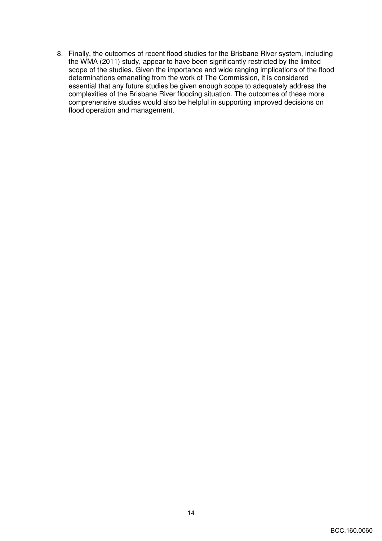8. Finally, the outcomes of recent flood studies for the Brisbane River system, including the WMA (2011) study, appear to have been significantly restricted by the limited scope of the studies. Given the importance and wide ranging implications of the flood determinations emanating from the work of The Commission, it is considered essential that any future studies be given enough scope to adequately address the complexities of the Brisbane River flooding situation. The outcomes of these more comprehensive studies would also be helpful in supporting improved decisions on flood operation and management.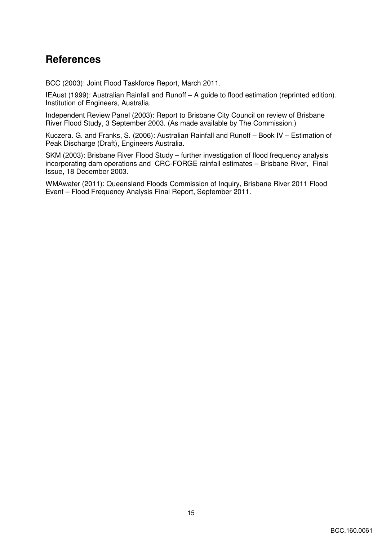## **References**

BCC (2003): Joint Flood Taskforce Report, March 2011.

IEAust (1999): Australian Rainfall and Runoff – A guide to flood estimation (reprinted edition). Institution of Engineers, Australia.

Independent Review Panel (2003): Report to Brisbane City Council on review of Brisbane River Flood Study, 3 September 2003. (As made available by The Commission.)

Kuczera. G. and Franks, S. (2006): Australian Rainfall and Runoff – Book IV – Estimation of Peak Discharge (Draft), Engineers Australia.

SKM (2003): Brisbane River Flood Study – further investigation of flood frequency analysis incorporating dam operations and CRC-FORGE rainfall estimates – Brisbane River, Final Issue, 18 December 2003.

WMAwater (2011): Queensland Floods Commission of Inquiry, Brisbane River 2011 Flood Event – Flood Frequency Analysis Final Report, September 2011.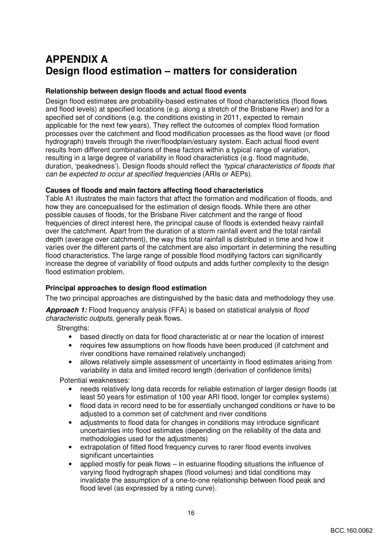## **APPENDIX A Design flood estimation – matters for consideration**

#### **Relationship between design floods and actual flood events**

Design flood estimates are probability-based estimates of flood characteristics (flood flows and flood levels) at specified locations (e.g. along a stretch of the Brisbane River) and for a specified set of conditions (e.g. the conditions existing in 2011, expected to remain applicable for the next few years). They reflect the outcomes of complex flood formation processes over the catchment and flood modification processes as the flood wave (or flood hydrograph) travels through the river/floodplain/estuary system. Each actual flood event results from different combinations of these factors within a typical range of variation, resulting in a large degree of variability in flood characteristics (e.g. flood magnitude, duration, 'peakedness'). Design floods should reflect the 'typical characteristics of floods that can be expected to occur at specified frequencies (ARIs or AEPs).

#### **Causes of floods and main factors affecting flood characteristics**

Table A1 illustrates the main factors that affect the formation and modification of floods, and how they are concepualised for the estimation of design floods. While there are other possible causes of floods, for the Brisbane River catchment and the range of flood frequencies of direct interest here, the principal cause of floods is extended heavy rainfall over the catchment. Apart from the duration of a storm rainfall event and the total rainfall depth (average over catchment), the way this total rainfall is distributed in time and how it varies over the different parts of the catchment are also important in determining the resulting flood characteristics. The large range of possible flood modifying factors can significantly increase the degree of variability of flood outputs and adds further complexity to the design flood estimation problem.

#### **Principal approaches to design flood estimation**

The two principal approaches are distinguished by the basic data and methodology they use.

**Approach 1:** Flood frequency analysis (FFA) is based on statistical analysis of flood characteristic outputs, generally peak flows.

Strengths:

- based directly on data for flood characteristic at or near the location of interest
- requires few assumptions on how floods have been produced (if catchment and river conditions have remained relatively unchanged)
- allows relatively simple assessment of uncertainty in flood estimates arising from variability in data and limited record length (derivation of confidence limits)

Potential weaknesses:

- needs relatively long data records for reliable estimation of larger design floods (at least 50 years for estimation of 100 year ARI flood, longer for complex systems)
- flood data in record need to be for essentially unchanged conditions or have to be adjusted to a common set of catchment and river conditions
- adjustments to flood data for changes in conditions may introduce significant uncertainties into flood estimates (depending on the reliability of the data and methodologies used for the adjustments)
- extrapolation of fitted flood frequency curves to rarer flood events involves significant uncertainties
- applied mostly for peak flows in estuarine flooding situations the influence of varying flood hydrograph shapes (flood volumes) and tidal conditions may invalidate the assumption of a one-to-one relationship between flood peak and flood level (as expressed by a rating curve).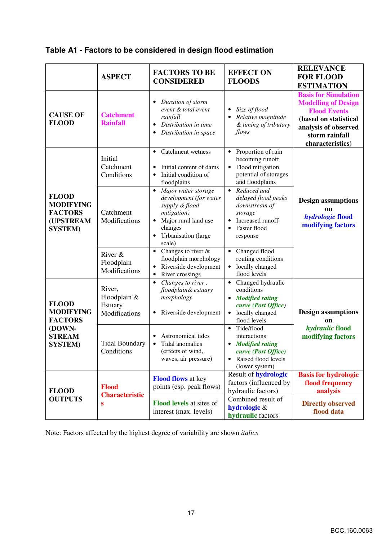|  |  | Table A1 - Factors to be considered in design flood estimation |
|--|--|----------------------------------------------------------------|
|  |  |                                                                |

|                                                                                    | <b>ASPECT</b>                                      | <b>FACTORS TO BE</b><br><b>CONSIDERED</b>                                                                                                                                    | <b>EFFECT ON</b><br><b>FLOODS</b>                                                                                                 | <b>RELEVANCE</b><br><b>FOR FLOOD</b><br><b>ESTIMATION</b>                                                                                                               |
|------------------------------------------------------------------------------------|----------------------------------------------------|------------------------------------------------------------------------------------------------------------------------------------------------------------------------------|-----------------------------------------------------------------------------------------------------------------------------------|-------------------------------------------------------------------------------------------------------------------------------------------------------------------------|
| <b>CAUSE OF</b><br><b>FLOOD</b>                                                    | <b>Catchment</b><br><b>Rainfall</b>                | Duration of storm<br>$\bullet$<br>event & total event<br>rainfall<br>Distribution in time<br>٠<br>Distribution in space<br>٠                                                 | Size of flood<br>Relative magnitude<br>& timing of tributary<br>flows                                                             | <b>Basis for Simulation</b><br><b>Modelling of Design</b><br><b>Flood Events</b><br>(based on statistical<br>analysis of observed<br>storm rainfall<br>characteristics) |
|                                                                                    | Initial<br>Catchment<br>Conditions                 | Catchment wetness<br>$\bullet$<br>Initial content of dams<br>$\bullet$<br>Initial condition of<br>$\bullet$<br>floodplains                                                   | Proportion of rain<br>$\bullet$<br>becoming runoff<br>Flood mitigation<br>$\bullet$<br>potential of storages<br>and floodplains   |                                                                                                                                                                         |
| <b>FLOOD</b><br><b>MODIFYING</b><br><b>FACTORS</b><br>(UPSTREAM<br><b>SYSTEM</b> ) | Catchment<br>Modifications                         | Major water storage<br>$\bullet$<br>development (for water<br>supply & flood<br>mitigation)<br>Major rural land use<br>changes<br>Urbanisation (large<br>$\bullet$<br>scale) | Reduced and<br>$\bullet$<br>delayed flood peaks<br>downstream of<br>storage<br>Increased runoff<br>Faster flood<br>response       | <b>Design assumptions</b><br>on<br>hydrologic flood<br>modifying factors                                                                                                |
|                                                                                    | River &<br>Floodplain<br>Modifications             | Changes to river &<br>$\bullet$<br>floodplain morphology<br>Riverside development<br>River crossings<br>$\bullet$                                                            | Changed flood<br>$\bullet$<br>routing conditions<br>locally changed<br>flood levels                                               |                                                                                                                                                                         |
| <b>FLOOD</b><br><b>MODIFYING</b><br><b>FACTORS</b>                                 | River,<br>Floodplain &<br>Estuary<br>Modifications | Changes to river,<br>$\bullet$<br>floodplain& estuary<br>morphology<br>Riverside development<br>٠                                                                            | Changed hydraulic<br>conditions<br><b>Modified rating</b><br>curve (Port Office)<br>locally changed<br>flood levels               | <b>Design assumptions</b><br><b>on</b>                                                                                                                                  |
| (DOWN-<br><b>STREAM</b><br><b>SYSTEM</b> )                                         | <b>Tidal Boundary</b><br>Conditions                | Astronomical tides<br>Tidal anomalies<br>$\bullet$<br>(effects of wind,<br>waves, air pressure)                                                                              | Tide/flood<br>$\bullet$<br>interactions<br><b>Modified rating</b><br>curve (Port Office)<br>Raised flood levels<br>(lower system) | hydraulic flood<br>modifying factors                                                                                                                                    |
| <b>FLOOD</b>                                                                       | <b>Flood</b><br><b>Characteristic</b><br>S         | <b>Flood flows</b> at key<br>points (esp. peak flows)                                                                                                                        | Result of hydrologic<br>factors (influenced by<br>hydraulic factors)                                                              | <b>Basis for hydrologic</b><br>flood frequency<br>analysis                                                                                                              |
| <b>OUTPUTS</b>                                                                     |                                                    | <b>Flood levels at sites of</b><br>interest (max. levels)                                                                                                                    | Combined result of<br>hydrologic &<br>hydraulic factors                                                                           | <b>Directly observed</b><br>flood data                                                                                                                                  |

Note: Factors affected by the highest degree of variability are shown *italics*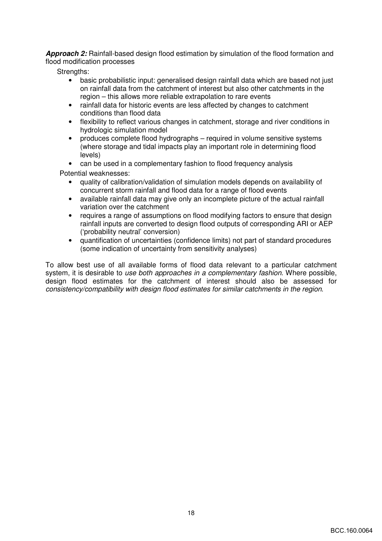**Approach 2:** Rainfall-based design flood estimation by simulation of the flood formation and flood modification processes

Strengths:

- basic probabilistic input: generalised design rainfall data which are based not just on rainfall data from the catchment of interest but also other catchments in the region – this allows more reliable extrapolation to rare events
- rainfall data for historic events are less affected by changes to catchment conditions than flood data
- flexibility to reflect various changes in catchment, storage and river conditions in hydrologic simulation model
- produces complete flood hydrographs required in volume sensitive systems (where storage and tidal impacts play an important role in determining flood levels)
- can be used in a complementary fashion to flood frequency analysis

Potential weaknesses:

- quality of calibration/validation of simulation models depends on availability of concurrent storm rainfall and flood data for a range of flood events
- available rainfall data may give only an incomplete picture of the actual rainfall variation over the catchment
- requires a range of assumptions on flood modifying factors to ensure that design rainfall inputs are converted to design flood outputs of corresponding ARI or AEP ('probability neutral' conversion)
- quantification of uncertainties (confidence limits) not part of standard procedures (some indication of uncertainty from sensitivity analyses)

To allow best use of all available forms of flood data relevant to a particular catchment system, it is desirable to use both approaches in a complementary fashion. Where possible, design flood estimates for the catchment of interest should also be assessed for consistency/compatibility with design flood estimates for similar catchments in the region.